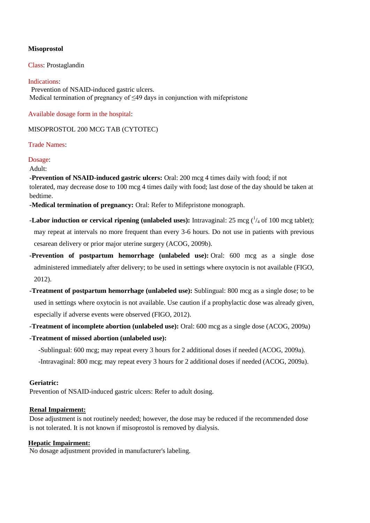# **Misoprostol**

Class: Prostaglandin

#### Indications:

Prevention of NSAID-induced gastric ulcers. Medical termination of pregnancy of  $\leq 49$  days in conjunction with mifepristone

Available dosage form in the hospital:

MISOPROSTOL 200 MCG TAB (CYTOTEC)

Trade Names:

## Dosage:

Adult:

**-Prevention of NSAID-induced gastric ulcers:** Oral: 200 mcg 4 times daily with food; if not tolerated, may decrease dose to 100 mcg 4 times daily with food; last dose of the day should be taken at bedtime.

**-Medical termination of pregnancy:** Oral: Refer to Mifepristone monograph.

- **-Labor induction or cervical ripening (unlabeled uses):** Intravaginal:  $25 \text{ mcg } (^{1}_{4} \text{ of } 100 \text{ mcg tablet})$ ; may repeat at intervals no more frequent than every 3-6 hours. Do not use in patients with previous cesarean delivery or prior major uterine surgery (ACOG, 2009b).
- **-Prevention of postpartum hemorrhage (unlabeled use):** Oral: 600 mcg as a single dose administered immediately after delivery; to be used in settings where oxytocin is not available (FIGO, 2012).
- **-Treatment of postpartum hemorrhage (unlabeled use):** Sublingual: 800 mcg as a single dose; to be used in settings where oxytocin is not available. Use caution if a prophylactic dose was already given, especially if adverse events were observed (FIGO, 2012).
- **-Treatment of incomplete abortion (unlabeled use):** Oral: 600 mcg as a single dose (ACOG, 2009a)
- **-Treatment of missed abortion (unlabeled use):**
	- -Sublingual: 600 mcg; may repeat every 3 hours for 2 additional doses if needed (ACOG, 2009a).
	- -Intravaginal: 800 mcg; may repeat every 3 hours for 2 additional doses if needed (ACOG, 2009a).

## **Geriatric:**

Prevention of NSAID-induced gastric ulcers: Refer to adult dosing.

## **Renal Impairment:**

Dose adjustment is not routinely needed; however, the dose may be reduced if the recommended dose is not tolerated. It is not known if misoprostol is removed by dialysis.

# **Hepatic Impairment:**

No dosage adjustment provided in manufacturer's labeling.